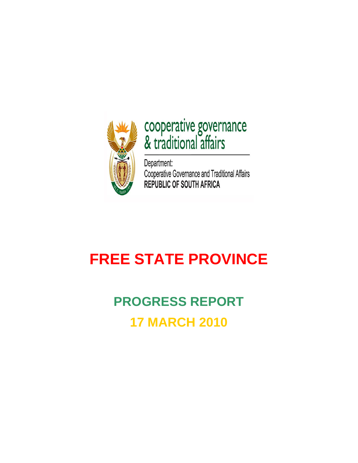

# cooperative governance<br>& traditional affairs

Department: Cooperative Governance and Traditional Affairs<br>REPUBLIC OF SOUTH AFRICA

# **FREE STATE PROVINCE**

# **PROGRESS REPORT 17 MARCH 2010**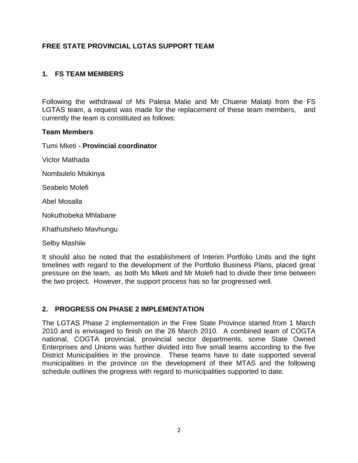# **FREE STATE PROVINCIAL LGTAS SUPPORT TEAM**

## **1. FS TEAM MEMBERS**

Following the withdrawal of Ms Palesa Malie and Mr Chuene Malatji from the FS LGTAS team, a request was made for the replacement of these team members, and currently the team is constituted as follows:

#### **Team Members**

Tumi Mketi - **Provincial coordinator**

Victor Mathada

Nombulelo Msikinya

Seabelo Molefi

Abel Mosalla

Nokuthobeka Mhlabane

Khathutshelo Mavhungu

Selby Mashile

It should also be noted that the establishment of Interim Portfolio Units and the tight timelines with regard to the development of the Portfolio Business Plans, placed great pressure on the team, as both Ms Mketi and Mr Molefi had to divide their time between the two project. However, the support process has so far progressed well.

### **2. PROGRESS ON PHASE 2 IMPLEMENTATION**

The LGTAS Phase 2 implementation in the Free State Province started from 1 March 2010 and is envisaged to finish on the 26 March 2010. A combined team of COGTA national, COGTA provincial, provincial sector departments, some State Owned Enterprises and Unions was further divided into five small teams according to the five District Municipalities in the province. These teams have to date supported several municipalities in the province on the development of their MTAS and the following schedule outlines the progress with regard to municipalities supported to date.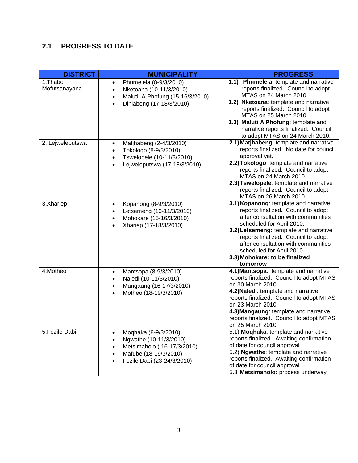# **2.1 PROGRESS TO DATE**

| <b>DISTRICT</b>          | <b>MUNICIPALITY</b>                                                                                                                                     | <b>PROGRESS</b>                                                                                                                                                                                                                                                                                                                                     |
|--------------------------|---------------------------------------------------------------------------------------------------------------------------------------------------------|-----------------------------------------------------------------------------------------------------------------------------------------------------------------------------------------------------------------------------------------------------------------------------------------------------------------------------------------------------|
| 1.Thabo<br>Mofutsanayana | Phumelela (8-9/3/2010)<br>$\bullet$<br>Nketoana (10-11/3/2010)<br>$\bullet$<br>Maluti A Phofung (15-16/3/2010)<br>$\bullet$<br>Dihlabeng (17-18/3/2010) | Phumelela: template and narrative<br>1.1)<br>reports finalized. Council to adopt<br>MTAS on 24 March 2010.<br>1.2) Nketoana: template and narrative<br>reports finalized. Council to adopt<br>MTAS on 25 March 2010.<br>1.3) Maluti A Phofung: template and<br>narrative reports finalized. Council<br>to adopt MTAS on 24 March 2010.              |
| 2. Lejweleputswa         | Matjhabeng (2-4/3/2010)<br>$\bullet$<br>Tokologo (8-9/3/2010)<br>$\bullet$<br>Tswelopele (10-11/3/2010)<br>$\bullet$<br>Lejweleputswa (17-18/3/2010)    | 2.1) Matjhabeng: template and narrative<br>reports finalized. No date for council<br>approval yet.<br>2.2) Tokologo: template and narrative<br>reports finalized. Council to adopt<br>MTAS on 24 March 2010.<br>2.3) Tswelopele: template and narrative<br>reports finalized. Council to adopt<br>MTAS on 26 March 2010.                            |
| 3.Xhariep                | Kopanong (8-9/3/2010)<br>Letsemeng (10-11/3/2010)<br>Mohokare (15-16/3/2010)<br>Xhariep (17-18/3/2010)                                                  | 3.1) Kopanong: template and narrative<br>reports finalized. Council to adopt<br>after consultation with communities<br>scheduled for April 2010.<br>3.2) Letsemeng: template and narrative<br>reports finalized. Council to adopt<br>after consultation with communities<br>scheduled for April 2010.<br>3.3) Mohokare: to be finalized<br>tomorrow |
| 4.Motheo                 | Mantsopa (8-9/3/2010)<br>$\bullet$<br>Naledi (10-11/3/2010)<br>Mangaung (16-17/3/2010)<br>Motheo (18-19/3/2010)                                         | 4.1) Mantsopa: template and narrative<br>reports finalized. Council to adopt MTAS<br>on 30 March 2010.<br>4.2) Naledi: template and narrative<br>reports finalized. Council to adopt MTAS<br>on 23 March 2010.<br>4.3) Mangaung: template and narrative<br>reports finalized. Council to adopt MTAS<br>on 25 March 2010.                            |
| 5.Fezile Dabi            | Moqhaka (8-9/3/2010)<br>Ngwathe (10-11/3/2010)<br>Metsimaholo (16-17/3/2010)<br>Mafube (18-19/3/2010)<br>Fezile Dabi (23-24/3/2010)<br>$\bullet$        | 5.1) <b>Moghaka</b> : template and narrative<br>reports finalized. Awaiting confirmation<br>of date for council approval<br>5.2) Ngwathe: template and narrative<br>reports finalized. Awaiting confirmation<br>of date for council approval<br>5.3 Metsimaholo: process underway                                                                   |